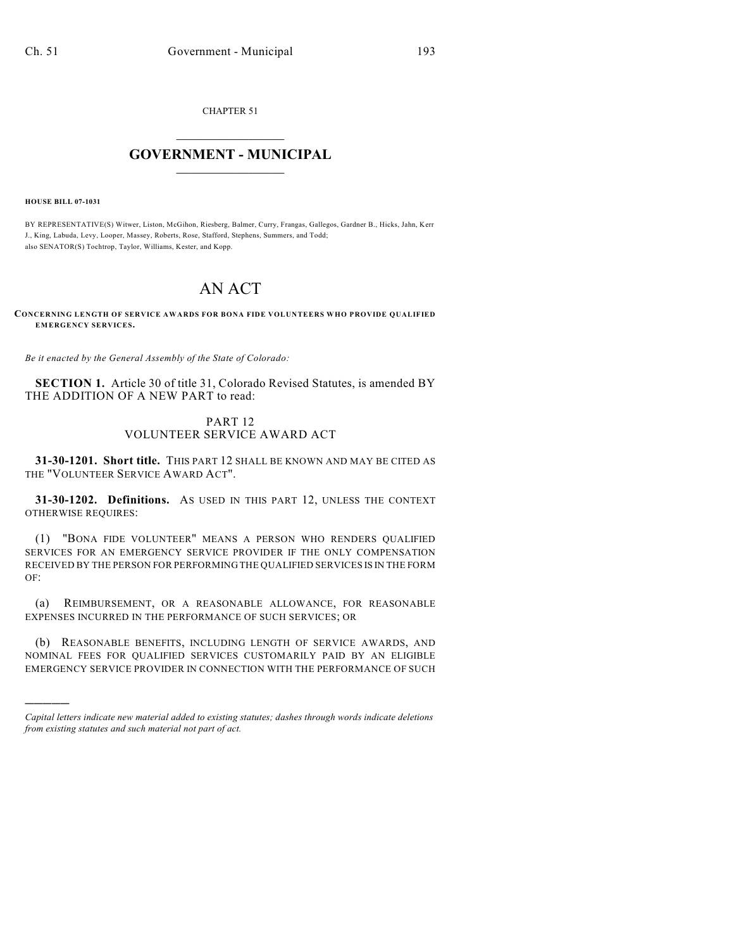CHAPTER 51

## $\overline{\phantom{a}}$  . The set of the set of the set of the set of the set of the set of the set of the set of the set of the set of the set of the set of the set of the set of the set of the set of the set of the set of the set o **GOVERNMENT - MUNICIPAL**  $\_$

**HOUSE BILL 07-1031**

)))))

BY REPRESENTATIVE(S) Witwer, Liston, McGihon, Riesberg, Balmer, Curry, Frangas, Gallegos, Gardner B., Hicks, Jahn, Kerr J., King, Labuda, Levy, Looper, Massey, Roberts, Rose, Stafford, Stephens, Summers, and Todd; also SENATOR(S) Tochtrop, Taylor, Williams, Kester, and Kopp.

## AN ACT

**CONCERNING LENGTH OF SERVICE AWARDS FOR BONA FIDE VOLUNTEERS WHO PROVIDE QUALIFIED EMERGENCY SERVICES.**

*Be it enacted by the General Assembly of the State of Colorado:*

**SECTION 1.** Article 30 of title 31, Colorado Revised Statutes, is amended BY THE ADDITION OF A NEW PART to read:

## PART 12 VOLUNTEER SERVICE AWARD ACT

**31-30-1201. Short title.** THIS PART 12 SHALL BE KNOWN AND MAY BE CITED AS THE "VOLUNTEER SERVICE AWARD ACT".

**31-30-1202. Definitions.** AS USED IN THIS PART 12, UNLESS THE CONTEXT OTHERWISE REQUIRES:

(1) "BONA FIDE VOLUNTEER" MEANS A PERSON WHO RENDERS QUALIFIED SERVICES FOR AN EMERGENCY SERVICE PROVIDER IF THE ONLY COMPENSATION RECEIVED BY THE PERSON FOR PERFORMING THE QUALIFIED SERVICES IS IN THE FORM OF:

(a) REIMBURSEMENT, OR A REASONABLE ALLOWANCE, FOR REASONABLE EXPENSES INCURRED IN THE PERFORMANCE OF SUCH SERVICES; OR

(b) REASONABLE BENEFITS, INCLUDING LENGTH OF SERVICE AWARDS, AND NOMINAL FEES FOR QUALIFIED SERVICES CUSTOMARILY PAID BY AN ELIGIBLE EMERGENCY SERVICE PROVIDER IN CONNECTION WITH THE PERFORMANCE OF SUCH

*Capital letters indicate new material added to existing statutes; dashes through words indicate deletions from existing statutes and such material not part of act.*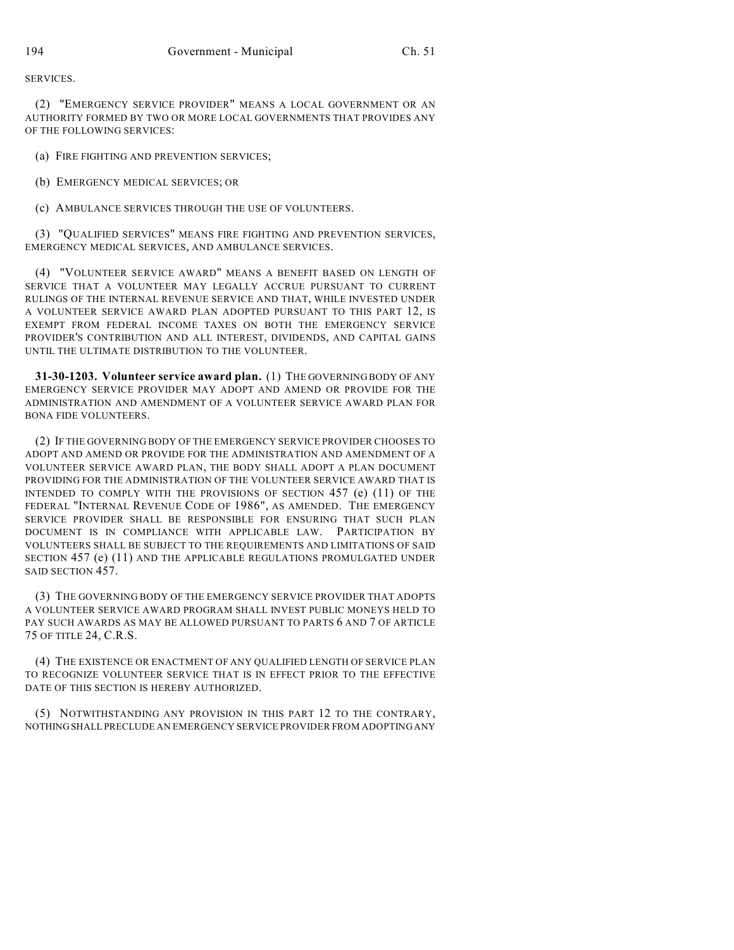SERVICES.

(2) "EMERGENCY SERVICE PROVIDER" MEANS A LOCAL GOVERNMENT OR AN AUTHORITY FORMED BY TWO OR MORE LOCAL GOVERNMENTS THAT PROVIDES ANY OF THE FOLLOWING SERVICES:

(a) FIRE FIGHTING AND PREVENTION SERVICES;

(b) EMERGENCY MEDICAL SERVICES; OR

(c) AMBULANCE SERVICES THROUGH THE USE OF VOLUNTEERS.

(3) "QUALIFIED SERVICES" MEANS FIRE FIGHTING AND PREVENTION SERVICES, EMERGENCY MEDICAL SERVICES, AND AMBULANCE SERVICES.

(4) "VOLUNTEER SERVICE AWARD" MEANS A BENEFIT BASED ON LENGTH OF SERVICE THAT A VOLUNTEER MAY LEGALLY ACCRUE PURSUANT TO CURRENT RULINGS OF THE INTERNAL REVENUE SERVICE AND THAT, WHILE INVESTED UNDER A VOLUNTEER SERVICE AWARD PLAN ADOPTED PURSUANT TO THIS PART 12, IS EXEMPT FROM FEDERAL INCOME TAXES ON BOTH THE EMERGENCY SERVICE PROVIDER'S CONTRIBUTION AND ALL INTEREST, DIVIDENDS, AND CAPITAL GAINS UNTIL THE ULTIMATE DISTRIBUTION TO THE VOLUNTEER.

**31-30-1203. Volunteer service award plan.** (1) THE GOVERNING BODY OF ANY EMERGENCY SERVICE PROVIDER MAY ADOPT AND AMEND OR PROVIDE FOR THE ADMINISTRATION AND AMENDMENT OF A VOLUNTEER SERVICE AWARD PLAN FOR BONA FIDE VOLUNTEERS.

(2) IF THE GOVERNING BODY OF THE EMERGENCY SERVICE PROVIDER CHOOSES TO ADOPT AND AMEND OR PROVIDE FOR THE ADMINISTRATION AND AMENDMENT OF A VOLUNTEER SERVICE AWARD PLAN, THE BODY SHALL ADOPT A PLAN DOCUMENT PROVIDING FOR THE ADMINISTRATION OF THE VOLUNTEER SERVICE AWARD THAT IS INTENDED TO COMPLY WITH THE PROVISIONS OF SECTION 457 (e) (11) OF THE FEDERAL "INTERNAL REVENUE CODE OF 1986", AS AMENDED. THE EMERGENCY SERVICE PROVIDER SHALL BE RESPONSIBLE FOR ENSURING THAT SUCH PLAN DOCUMENT IS IN COMPLIANCE WITH APPLICABLE LAW. PARTICIPATION BY VOLUNTEERS SHALL BE SUBJECT TO THE REQUIREMENTS AND LIMITATIONS OF SAID SECTION 457 (e) (11) AND THE APPLICABLE REGULATIONS PROMULGATED UNDER SAID SECTION 457.

(3) THE GOVERNING BODY OF THE EMERGENCY SERVICE PROVIDER THAT ADOPTS A VOLUNTEER SERVICE AWARD PROGRAM SHALL INVEST PUBLIC MONEYS HELD TO PAY SUCH AWARDS AS MAY BE ALLOWED PURSUANT TO PARTS 6 AND 7 OF ARTICLE 75 OF TITLE 24, C.R.S.

(4) THE EXISTENCE OR ENACTMENT OF ANY QUALIFIED LENGTH OF SERVICE PLAN TO RECOGNIZE VOLUNTEER SERVICE THAT IS IN EFFECT PRIOR TO THE EFFECTIVE DATE OF THIS SECTION IS HEREBY AUTHORIZED.

(5) NOTWITHSTANDING ANY PROVISION IN THIS PART 12 TO THE CONTRARY, NOTHING SHALL PRECLUDE AN EMERGENCY SERVICE PROVIDER FROM ADOPTING ANY